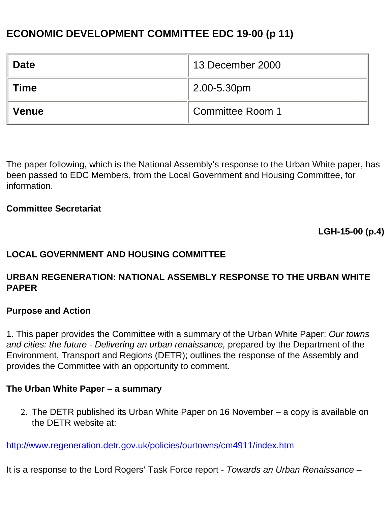# **ECONOMIC DEVELOPMENT COMMITTEE EDC 19-00 (p 11)**

| <b>Date</b>  | 13 December 2000 |
|--------------|------------------|
| <b>Time</b>  | 2.00-5.30pm      |
| <b>Venue</b> | Committee Room 1 |

The paper following, which is the National Assembly's response to the Urban White paper, has been passed to EDC Members, from the Local Government and Housing Committee, for information.

#### **Committee Secretariat**

**LGH-15-00 (p.4)**

## **LOCAL GOVERNMENT AND HOUSING COMMITTEE**

#### **URBAN REGENERATION: NATIONAL ASSEMBLY RESPONSE TO THE URBAN WHITE PAPER**

#### **Purpose and Action**

1. This paper provides the Committee with a summary of the Urban White Paper: *Our towns and cities: the future - Delivering an urban renaissance,* prepared by the Department of the Environment, Transport and Regions (DETR); outlines the response of the Assembly and provides the Committee with an opportunity to comment.

#### **The Urban White Paper – a summary**

2. The DETR published its Urban White Paper on 16 November – a copy is available on the DETR website at:

<http://www.regeneration.detr.gov.uk/policies/ourtowns/cm4911/index.htm>

It is a response to the Lord Rogers' Task Force report - *Towards an Urban Renaissance* –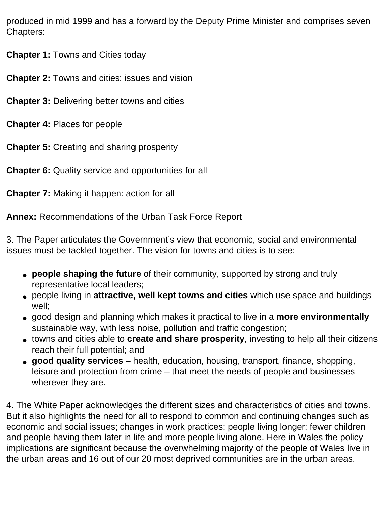produced in mid 1999 and has a forward by the Deputy Prime Minister and comprises seven Chapters:

**Chapter 1:** Towns and Cities today

**Chapter 2:** Towns and cities: issues and vision

**Chapter 3:** Delivering better towns and cities

**Chapter 4:** Places for people

**Chapter 5:** Creating and sharing prosperity

**Chapter 6:** Quality service and opportunities for all

**Chapter 7:** Making it happen: action for all

**Annex:** Recommendations of the Urban Task Force Report

3. The Paper articulates the Government's view that economic, social and environmental issues must be tackled together. The vision for towns and cities is to see:

- **people shaping the future** of their community, supported by strong and truly representative local leaders;
- people living in **attractive, well kept towns and cities** which use space and buildings well;
- good design and planning which makes it practical to live in a **more environmentally**  sustainable way, with less noise, pollution and traffic congestion;
- towns and cities able to **create and share prosperity**, investing to help all their citizens reach their full potential; and
- **good quality services**  health, education, housing, transport, finance, shopping, leisure and protection from crime – that meet the needs of people and businesses wherever they are.

4. The White Paper acknowledges the different sizes and characteristics of cities and towns. But it also highlights the need for all to respond to common and continuing changes such as economic and social issues; changes in work practices; people living longer; fewer children and people having them later in life and more people living alone. Here in Wales the policy implications are significant because the overwhelming majority of the people of Wales live in the urban areas and 16 out of our 20 most deprived communities are in the urban areas.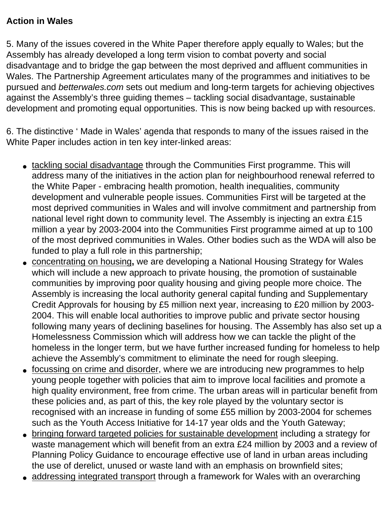# **Action in Wales**

5. Many of the issues covered in the White Paper therefore apply equally to Wales; but the Assembly has already developed a long term vision to combat poverty and social disadvantage and to bridge the gap between the most deprived and affluent communities in Wales. The Partnership Agreement articulates many of the programmes and initiatives to be pursued and *betterwales.com* sets out medium and long-term targets for achieving objectives against the Assembly's three guiding themes – tackling social disadvantage, sustainable development and promoting equal opportunities. This is now being backed up with resources.

6. The distinctive ' Made in Wales' agenda that responds to many of the issues raised in the White Paper includes action in ten key inter-linked areas:

- tackling social disadvantage through the Communities First programme. This will address many of the initiatives in the action plan for neighbourhood renewal referred to the White Paper - embracing health promotion, health inequalities, community development and vulnerable people issues. Communities First will be targeted at the most deprived communities in Wales and will involve commitment and partnership from national level right down to community level. The Assembly is injecting an extra £15 million a year by 2003-2004 into the Communities First programme aimed at up to 100 of the most deprived communities in Wales. Other bodies such as the WDA will also be funded to play a full role in this partnership;
- concentrating on housing**,** we are developing a National Housing Strategy for Wales which will include a new approach to private housing, the promotion of sustainable communities by improving poor quality housing and giving people more choice. The Assembly is increasing the local authority general capital funding and Supplementary Credit Approvals for housing by £5 million next year, increasing to £20 million by 2003- 2004. This will enable local authorities to improve public and private sector housing following many years of declining baselines for housing. The Assembly has also set up a Homelessness Commission which will address how we can tackle the plight of the homeless in the longer term, but we have further increased funding for homeless to help achieve the Assembly's commitment to eliminate the need for rough sleeping.
- focussing on crime and disorder, where we are introducing new programmes to help young people together with policies that aim to improve local facilities and promote a high quality environment, free from crime. The urban areas will in particular benefit from these policies and, as part of this, the key role played by the voluntary sector is recognised with an increase in funding of some £55 million by 2003-2004 for schemes such as the Youth Access Initiative for 14-17 year olds and the Youth Gateway;
- bringing forward targeted policies for sustainable development including a strategy for waste management which will benefit from an extra £24 million by 2003 and a review of Planning Policy Guidance to encourage effective use of land in urban areas including the use of derelict, unused or waste land with an emphasis on brownfield sites;
- addressing integrated transport through a framework for Wales with an overarching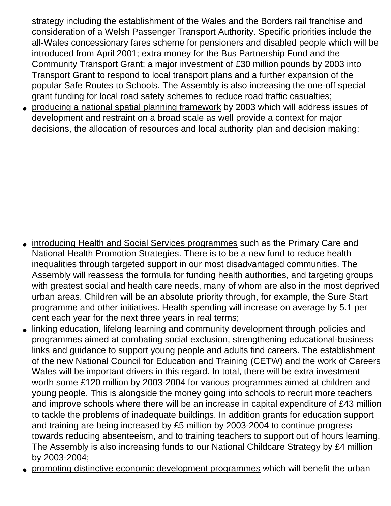strategy including the establishment of the Wales and the Borders rail franchise and consideration of a Welsh Passenger Transport Authority. Specific priorities include the all-Wales concessionary fares scheme for pensioners and disabled people which will be introduced from April 2001; extra money for the Bus Partnership Fund and the Community Transport Grant; a major investment of £30 million pounds by 2003 into Transport Grant to respond to local transport plans and a further expansion of the popular Safe Routes to Schools. The Assembly is also increasing the one-off special grant funding for local road safety schemes to reduce road traffic casualties;

• producing a national spatial planning framework by 2003 which will address issues of development and restraint on a broad scale as well provide a context for major decisions, the allocation of resources and local authority plan and decision making;

- introducing Health and Social Services programmes such as the Primary Care and National Health Promotion Strategies. There is to be a new fund to reduce health inequalities through targeted support in our most disadvantaged communities. The Assembly will reassess the formula for funding health authorities, and targeting groups with greatest social and health care needs, many of whom are also in the most deprived urban areas. Children will be an absolute priority through, for example, the Sure Start programme and other initiatives. Health spending will increase on average by 5.1 per cent each year for the next three years in real terms;
- linking education, lifelong learning and community development through policies and programmes aimed at combating social exclusion, strengthening educational-business links and guidance to support young people and adults find careers. The establishment of the new National Council for Education and Training (CETW) and the work of Careers Wales will be important drivers in this regard. In total, there will be extra investment worth some £120 million by 2003-2004 for various programmes aimed at children and young people. This is alongside the money going into schools to recruit more teachers and improve schools where there will be an increase in capital expenditure of £43 million to tackle the problems of inadequate buildings. In addition grants for education support and training are being increased by £5 million by 2003-2004 to continue progress towards reducing absenteeism, and to training teachers to support out of hours learning. The Assembly is also increasing funds to our National Childcare Strategy by £4 million by 2003-2004;
- promoting distinctive economic development programmes which will benefit the urban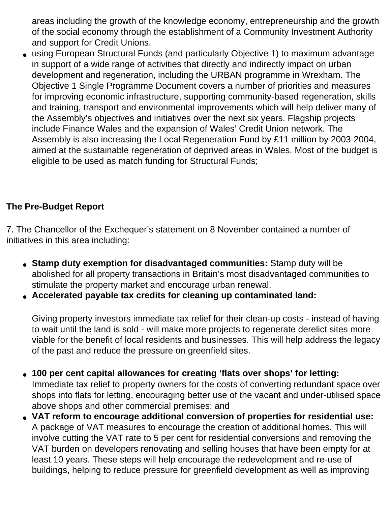areas including the growth of the knowledge economy, entrepreneurship and the growth of the social economy through the establishment of a Community Investment Authority and support for Credit Unions.

• using European Structural Funds (and particularly Objective 1) to maximum advantage in support of a wide range of activities that directly and indirectly impact on urban development and regeneration, including the URBAN programme in Wrexham. The Objective 1 Single Programme Document covers a number of priorities and measures for improving economic infrastructure, supporting community-based regeneration, skills and training, transport and environmental improvements which will help deliver many of the Assembly's objectives and initiatives over the next six years. Flagship projects include Finance Wales and the expansion of Wales' Credit Union network. The Assembly is also increasing the Local Regeneration Fund by £11 million by 2003-2004, aimed at the sustainable regeneration of deprived areas in Wales. Most of the budget is eligible to be used as match funding for Structural Funds;

# **The Pre-Budget Report**

7. The Chancellor of the Exchequer's statement on 8 November contained a number of initiatives in this area including:

- **Stamp duty exemption for disadvantaged communities:** Stamp duty will be abolished for all property transactions in Britain's most disadvantaged communities to stimulate the property market and encourage urban renewal.
- **Accelerated payable tax credits for cleaning up contaminated land:**

Giving property investors immediate tax relief for their clean-up costs - instead of having to wait until the land is sold - will make more projects to regenerate derelict sites more viable for the benefit of local residents and businesses. This will help address the legacy of the past and reduce the pressure on greenfield sites.

- **100 per cent capital allowances for creating 'flats over shops' for letting:**  Immediate tax relief to property owners for the costs of converting redundant space over shops into flats for letting, encouraging better use of the vacant and under-utilised space above shops and other commercial premises; and
- **VAT reform to encourage additional conversion of properties for residential use:**  A package of VAT measures to encourage the creation of additional homes. This will involve cutting the VAT rate to 5 per cent for residential conversions and removing the VAT burden on developers renovating and selling houses that have been empty for at least 10 years. These steps will help encourage the redevelopment and re-use of buildings, helping to reduce pressure for greenfield development as well as improving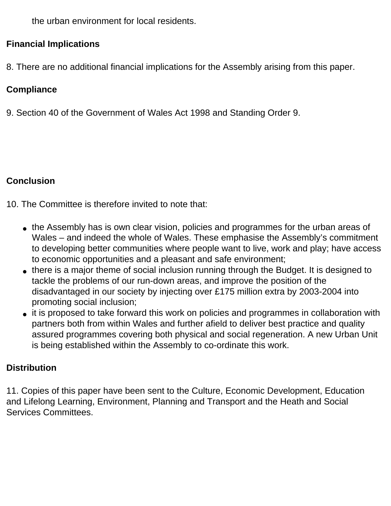the urban environment for local residents.

## **Financial Implications**

8. There are no additional financial implications for the Assembly arising from this paper.

# **Compliance**

9. Section 40 of the Government of Wales Act 1998 and Standing Order 9.

## **Conclusion**

10. The Committee is therefore invited to note that:

- the Assembly has is own clear vision, policies and programmes for the urban areas of Wales – and indeed the whole of Wales. These emphasise the Assembly's commitment to developing better communities where people want to live, work and play; have access to economic opportunities and a pleasant and safe environment;
- there is a major theme of social inclusion running through the Budget. It is designed to tackle the problems of our run-down areas, and improve the position of the disadvantaged in our society by injecting over £175 million extra by 2003-2004 into promoting social inclusion;
- it is proposed to take forward this work on policies and programmes in collaboration with partners both from within Wales and further afield to deliver best practice and quality assured programmes covering both physical and social regeneration. A new Urban Unit is being established within the Assembly to co-ordinate this work.

# **Distribution**

11. Copies of this paper have been sent to the Culture, Economic Development, Education and Lifelong Learning, Environment, Planning and Transport and the Heath and Social Services Committees.